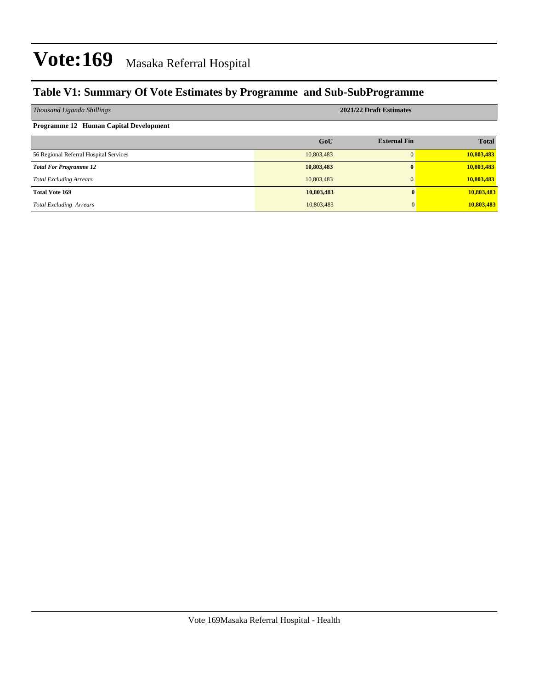### **Table V1: Summary Of Vote Estimates by Programme and Sub-SubProgramme**

| Thousand Uganda Shillings              | 2021/22 Draft Estimates |                     |              |  |  |  |  |
|----------------------------------------|-------------------------|---------------------|--------------|--|--|--|--|
| Programme 12 Human Capital Development |                         |                     |              |  |  |  |  |
|                                        | GoU                     | <b>External Fin</b> | <b>Total</b> |  |  |  |  |
| 56 Regional Referral Hospital Services | 10,803,483              | $\Omega$            | 10,803,483   |  |  |  |  |
| <b>Total For Programme 12</b>          | 10,803,483              | $\bf{0}$            | 10,803,483   |  |  |  |  |
| <b>Total Excluding Arrears</b>         | 10,803,483              | $\Omega$            | 10,803,483   |  |  |  |  |
| <b>Total Vote 169</b>                  | 10,803,483              |                     | 10,803,483   |  |  |  |  |
| <b>Total Excluding Arrears</b>         | 10,803,483              |                     | 10,803,483   |  |  |  |  |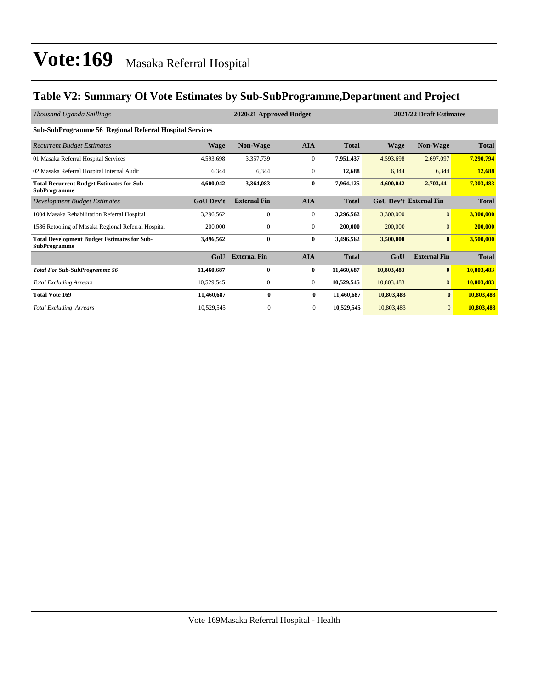### **Table V2: Summary Of Vote Estimates by Sub-SubProgramme,Department and Project**

| Thousand Uganda Shillings                                                 | 2020/21 Approved Budget |                     |              |              |             | 2021/22 Draft Estimates       |              |
|---------------------------------------------------------------------------|-------------------------|---------------------|--------------|--------------|-------------|-------------------------------|--------------|
| <b>Sub-SubProgramme 56 Regional Referral Hospital Services</b>            |                         |                     |              |              |             |                               |              |
| <b>Recurrent Budget Estimates</b>                                         | <b>Wage</b>             | <b>Non-Wage</b>     | <b>AIA</b>   | <b>Total</b> | <b>Wage</b> | <b>Non-Wage</b>               | <b>Total</b> |
| 01 Masaka Referral Hospital Services                                      | 4,593,698               | 3,357,739           | $\bf{0}$     | 7,951,437    | 4,593,698   | 2,697,097                     | 7,290,794    |
| 02 Masaka Referral Hospital Internal Audit                                | 6,344                   | 6,344               | $\mathbf{0}$ | 12,688       | 6,344       | 6,344                         | 12,688       |
| <b>Total Recurrent Budget Estimates for Sub-</b><br><b>SubProgramme</b>   | 4,600,042               | 3,364,083           | $\bf{0}$     | 7,964,125    | 4,600,042   | 2,703,441                     | 7,303,483    |
| Development Budget Estimates                                              | <b>GoU Dev't</b>        | <b>External Fin</b> | <b>AIA</b>   | <b>Total</b> |             | <b>GoU Dev't External Fin</b> | <b>Total</b> |
| 1004 Masaka Rehabilitation Referral Hospital                              | 3,296,562               | $\mathbf{0}$        | $\mathbf{0}$ | 3,296,562    | 3,300,000   | $\overline{0}$                | 3,300,000    |
| 1586 Retooling of Masaka Regional Referral Hospital                       | 200,000                 | 0                   | $\mathbf{0}$ | 200,000      | 200,000     | $\Omega$                      | 200,000      |
| <b>Total Development Budget Estimates for Sub-</b><br><b>SubProgramme</b> | 3,496,562               | $\bf{0}$            | $\bf{0}$     | 3,496,562    | 3,500,000   | $\bf{0}$                      | 3,500,000    |
|                                                                           | GoU                     | <b>External Fin</b> | <b>AIA</b>   | <b>Total</b> | GoU         | <b>External Fin</b>           | <b>Total</b> |
| <b>Total For Sub-SubProgramme 56</b>                                      | 11,460,687              | 0                   | $\bf{0}$     | 11,460,687   | 10,803,483  | $\bf{0}$                      | 10,803,483   |
| <b>Total Excluding Arrears</b>                                            | 10,529,545              | 0                   | $\mathbf{0}$ | 10,529,545   | 10,803,483  | $\overline{0}$                | 10,803,483   |
| <b>Total Vote 169</b>                                                     | 11,460,687              | $\bf{0}$            | $\bf{0}$     | 11,460,687   | 10,803,483  | $\bf{0}$                      | 10,803,483   |
| <b>Total Excluding Arrears</b>                                            | 10,529,545              | $\theta$            | $\mathbf{0}$ | 10,529,545   | 10,803,483  | $\mathbf{0}$                  | 10,803,483   |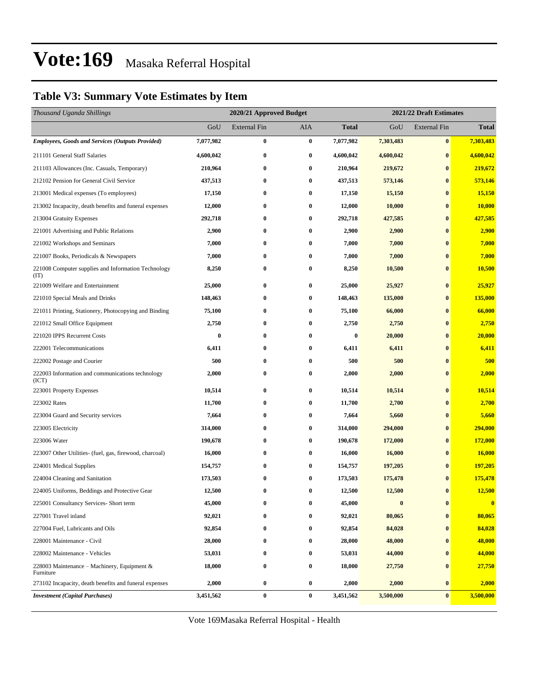### **Table V3: Summary Vote Estimates by Item**

| Thousand Uganda Shillings                                   |           | 2020/21 Approved Budget |          |              | 2021/22 Draft Estimates |                     |               |  |
|-------------------------------------------------------------|-----------|-------------------------|----------|--------------|-------------------------|---------------------|---------------|--|
|                                                             | GoU       | <b>External Fin</b>     | AIA      | <b>Total</b> | GoU                     | <b>External Fin</b> | <b>Total</b>  |  |
| <b>Employees, Goods and Services (Outputs Provided)</b>     | 7,077,982 | $\bf{0}$                | $\bf{0}$ | 7,077,982    | 7,303,483               | $\bf{0}$            | 7,303,483     |  |
| 211101 General Staff Salaries                               | 4,600,042 | $\boldsymbol{0}$        | 0        | 4,600,042    | 4,600,042               | $\bf{0}$            | 4,600,042     |  |
| 211103 Allowances (Inc. Casuals, Temporary)                 | 210,964   | $\bf{0}$                | 0        | 210,964      | 219,672                 | $\bf{0}$            | 219,672       |  |
| 212102 Pension for General Civil Service                    | 437,513   | $\bf{0}$                | $\bf{0}$ | 437,513      | 573,146                 | $\bf{0}$            | 573,146       |  |
| 213001 Medical expenses (To employees)                      | 17,150    | $\bf{0}$                | 0        | 17,150       | 15,150                  | $\bf{0}$            | 15,150        |  |
| 213002 Incapacity, death benefits and funeral expenses      | 12,000    | $\bf{0}$                | $\bf{0}$ | 12,000       | 10,000                  | $\bf{0}$            | <b>10,000</b> |  |
| 213004 Gratuity Expenses                                    | 292,718   | $\bf{0}$                | 0        | 292,718      | 427,585                 | $\bf{0}$            | 427,585       |  |
| 221001 Advertising and Public Relations                     | 2,900     | $\bf{0}$                | $\bf{0}$ | 2,900        | 2,900                   | $\bf{0}$            | 2,900         |  |
| 221002 Workshops and Seminars                               | 7,000     | $\bf{0}$                | $\bf{0}$ | 7,000        | 7,000                   | $\bf{0}$            | 7,000         |  |
| 221007 Books, Periodicals & Newspapers                      | 7,000     | $\bf{0}$                | 0        | 7,000        | 7,000                   | $\bf{0}$            | 7,000         |  |
| 221008 Computer supplies and Information Technology<br>(TT) | 8,250     | $\bf{0}$                | $\bf{0}$ | 8,250        | 10,500                  | $\bf{0}$            | 10,500        |  |
| 221009 Welfare and Entertainment                            | 25,000    | $\bf{0}$                | $\bf{0}$ | 25,000       | 25,927                  | $\bf{0}$            | 25,927        |  |
| 221010 Special Meals and Drinks                             | 148,463   | $\bf{0}$                | 0        | 148,463      | 135,000                 | $\bf{0}$            | 135,000       |  |
| 221011 Printing, Stationery, Photocopying and Binding       | 75,100    | $\bf{0}$                | $\bf{0}$ | 75,100       | 66,000                  | $\bf{0}$            | 66,000        |  |
| 221012 Small Office Equipment                               | 2,750     | $\bf{0}$                | $\bf{0}$ | 2,750        | 2,750                   | $\bf{0}$            | 2,750         |  |
| 221020 IPPS Recurrent Costs                                 | $\bf{0}$  | $\bf{0}$                | $\bf{0}$ | $\bf{0}$     | 20,000                  | $\bf{0}$            | 20,000        |  |
| 222001 Telecommunications                                   | 6,411     | $\bf{0}$                | $\bf{0}$ | 6,411        | 6,411                   | $\bf{0}$            | 6,411         |  |
| 222002 Postage and Courier                                  | 500       | $\bf{0}$                | $\bf{0}$ | 500          | 500                     | $\bf{0}$            | 500           |  |
| 222003 Information and communications technology<br>(ICT)   | 2,000     | $\bf{0}$                | $\bf{0}$ | 2,000        | 2,000                   | $\bf{0}$            | 2,000         |  |
| 223001 Property Expenses                                    | 10,514    | $\bf{0}$                | $\bf{0}$ | 10,514       | 10,514                  | $\bf{0}$            | 10,514        |  |
| 223002 Rates                                                | 11,700    | $\bf{0}$                | $\bf{0}$ | 11,700       | 2,700                   | $\bf{0}$            | 2,700         |  |
| 223004 Guard and Security services                          | 7,664     | $\bf{0}$                | $\bf{0}$ | 7,664        | 5,660                   | $\bf{0}$            | 5,660         |  |
| 223005 Electricity                                          | 314,000   | $\bf{0}$                | $\bf{0}$ | 314,000      | 294,000                 | $\bf{0}$            | 294,000       |  |
| 223006 Water                                                | 190,678   | $\bf{0}$                | $\bf{0}$ | 190,678      | 172,000                 | $\bf{0}$            | 172,000       |  |
| 223007 Other Utilities- (fuel, gas, firewood, charcoal)     | 16,000    | $\bf{0}$                | $\bf{0}$ | 16,000       | 16,000                  | $\bf{0}$            | 16,000        |  |
| 224001 Medical Supplies                                     | 154,757   | $\bf{0}$                | $\bf{0}$ | 154,757      | 197,205                 | $\bf{0}$            | 197,205       |  |
| 224004 Cleaning and Sanitation                              | 173,503   | $\bf{0}$                | $\bf{0}$ | 173,503      | 175,478                 | $\bf{0}$            | 175,478       |  |
| 224005 Uniforms, Beddings and Protective Gear               | 12,500    | $\bf{0}$                | $\bf{0}$ | 12,500       | 12,500                  | $\bf{0}$            | 12,500        |  |
| 225001 Consultancy Services- Short term                     | 45,000    | $\bf{0}$                | $\bf{0}$ | 45,000       | $\bf{0}$                | $\bf{0}$            | $\bf{0}$      |  |
| 227001 Travel inland                                        | 92,021    | $\bf{0}$                | 0        | 92,021       | 80,065                  | $\bf{0}$            | 80,065        |  |
| 227004 Fuel, Lubricants and Oils                            | 92,854    | $\bf{0}$                | $\bf{0}$ | 92,854       | 84,028                  | $\bf{0}$            | 84,028        |  |
| 228001 Maintenance - Civil                                  | 28,000    | $\bf{0}$                | 0        | 28,000       | 48,000                  | $\bf{0}$            | 48,000        |  |
| 228002 Maintenance - Vehicles                               | 53,031    | $\bf{0}$                | $\bf{0}$ | 53,031       | 44,000                  | $\bf{0}$            | 44,000        |  |
| 228003 Maintenance – Machinery, Equipment &<br>Furniture    | 18,000    | $\bf{0}$                | $\bf{0}$ | 18,000       | 27,750                  | $\bf{0}$            | 27,750        |  |
| 273102 Incapacity, death benefits and funeral expenses      | 2,000     | $\bf{0}$                | $\bf{0}$ | 2,000        | 2,000                   | $\bf{0}$            | 2,000         |  |
| <b>Investment</b> (Capital Purchases)                       | 3,451,562 | $\bf{0}$                | $\bf{0}$ | 3,451,562    | 3,500,000               | $\bf{0}$            | 3,500,000     |  |

Vote 169Masaka Referral Hospital - Health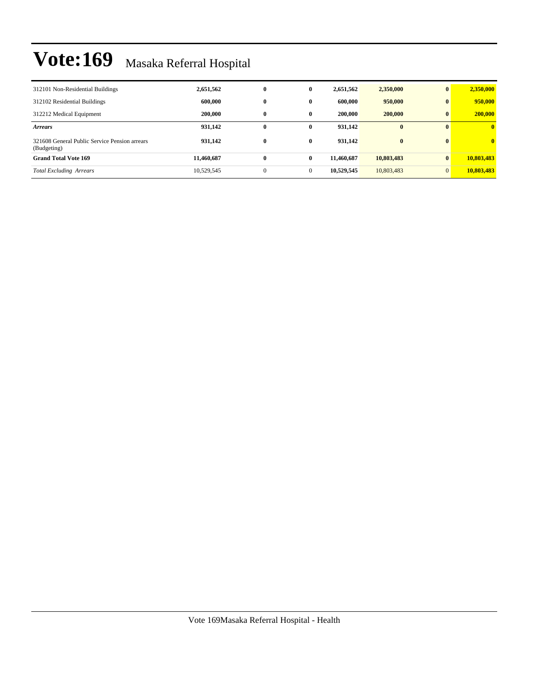| 312101 Non-Residential Buildings                             | 2,651,562  | $\bf{0}$     | $\bf{0}$     | 2,651,562  | 2,350,000    | $\mathbf{0}$   | 2,350,000    |
|--------------------------------------------------------------|------------|--------------|--------------|------------|--------------|----------------|--------------|
| 312102 Residential Buildings                                 | 600,000    | $\bf{0}$     | $\mathbf{0}$ | 600,000    | 950,000      | $\mathbf{0}$   | 950,000      |
| 312212 Medical Equipment                                     | 200,000    | $\bf{0}$     | $\bf{0}$     | 200,000    | 200,000      | $\bf{0}$       | 200,000      |
| <b>Arrears</b>                                               | 931,142    | $\mathbf{0}$ | $\mathbf{0}$ | 931,142    | $\mathbf{0}$ | $\mathbf{0}$   | $\mathbf{0}$ |
| 321608 General Public Service Pension arrears<br>(Budgeting) | 931.142    | $\bf{0}$     | $\mathbf{0}$ | 931.142    | $\bf{0}$     | $\mathbf{0}$   | $\mathbf{0}$ |
| <b>Grand Total Vote 169</b>                                  | 11,460,687 | $\mathbf{0}$ | $\bf{0}$     | 11,460,687 | 10,803,483   | $\mathbf{0}$   | 10,803,483   |
| <b>Total Excluding Arrears</b>                               | 10,529,545 | $\mathbf{0}$ | $\mathbf{0}$ | 10.529.545 | 10,803,483   | $\overline{0}$ | 10.803.483   |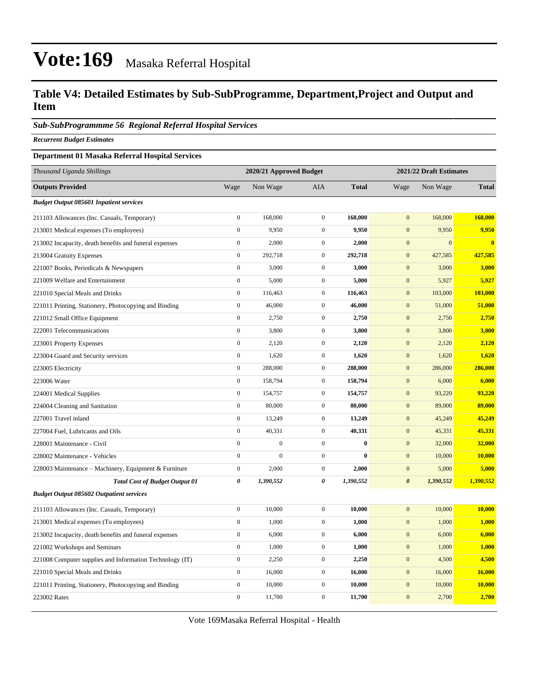### **Table V4: Detailed Estimates by Sub-SubProgramme, Department,Project and Output and Item**

#### *Sub-SubProgrammme 56 Regional Referral Hospital Services*

*Recurrent Budget Estimates*

#### **Department 01 Masaka Referral Hospital Services**

| Thousand Uganda Shillings                                |                  | 2020/21 Approved Budget |                  |              |                       | 2021/22 Draft Estimates |              |
|----------------------------------------------------------|------------------|-------------------------|------------------|--------------|-----------------------|-------------------------|--------------|
| <b>Outputs Provided</b>                                  | Wage             | Non Wage                | <b>AIA</b>       | <b>Total</b> | Wage                  | Non Wage                | <b>Total</b> |
| <b>Budget Output 085601 Inpatient services</b>           |                  |                         |                  |              |                       |                         |              |
| 211103 Allowances (Inc. Casuals, Temporary)              | $\overline{0}$   | 168,000                 | $\boldsymbol{0}$ | 168,000      | $\overline{0}$        | 168,000                 | 168,000      |
| 213001 Medical expenses (To employees)                   | $\boldsymbol{0}$ | 9,950                   | $\boldsymbol{0}$ | 9,950        | $\mathbf{0}$          | 9,950                   | 9,950        |
| 213002 Incapacity, death benefits and funeral expenses   | $\boldsymbol{0}$ | 2,000                   | $\boldsymbol{0}$ | 2,000        | $\mathbf{0}$          | $\mathbf{0}$            | $\mathbf{0}$ |
| 213004 Gratuity Expenses                                 | $\boldsymbol{0}$ | 292,718                 | $\mathbf{0}$     | 292,718      | $\mathbf{0}$          | 427,585                 | 427,585      |
| 221007 Books, Periodicals & Newspapers                   | $\boldsymbol{0}$ | 3,000                   | $\boldsymbol{0}$ | 3,000        | $\mathbf{0}$          | 3,000                   | 3,000        |
| 221009 Welfare and Entertainment                         | $\boldsymbol{0}$ | 5,000                   | $\boldsymbol{0}$ | 5,000        | $\mathbf{0}$          | 5,927                   | 5,927        |
| 221010 Special Meals and Drinks                          | $\boldsymbol{0}$ | 116,463                 | $\boldsymbol{0}$ | 116,463      | $\mathbf{0}$          | 103,000                 | 103,000      |
| 221011 Printing, Stationery, Photocopying and Binding    | $\boldsymbol{0}$ | 46,000                  | $\boldsymbol{0}$ | 46,000       | $\boldsymbol{0}$      | 51,000                  | 51,000       |
| 221012 Small Office Equipment                            | $\boldsymbol{0}$ | 2,750                   | $\mathbf{0}$     | 2,750        | $\mathbf{0}$          | 2,750                   | 2,750        |
| 222001 Telecommunications                                | $\overline{0}$   | 3,800                   | $\boldsymbol{0}$ | 3,800        | $\boldsymbol{0}$      | 3,800                   | 3,800        |
| 223001 Property Expenses                                 | $\boldsymbol{0}$ | 2,120                   | $\boldsymbol{0}$ | 2,120        | $\mathbf{0}$          | 2,120                   | 2,120        |
| 223004 Guard and Security services                       | $\overline{0}$   | 1,620                   | $\boldsymbol{0}$ | 1,620        | $\boldsymbol{0}$      | 1,620                   | 1,620        |
| 223005 Electricity                                       | $\boldsymbol{0}$ | 288,000                 | $\mathbf{0}$     | 288,000      | $\mathbf{0}$          | 286,000                 | 286,000      |
| 223006 Water                                             | $\mathbf{0}$     | 158,794                 | $\mathbf{0}$     | 158,794      | $\boldsymbol{0}$      | 6,000                   | 6,000        |
| 224001 Medical Supplies                                  | $\boldsymbol{0}$ | 154,757                 | $\boldsymbol{0}$ | 154,757      | $\mathbf{0}$          | 93,220                  | 93,220       |
| 224004 Cleaning and Sanitation                           | $\overline{0}$   | 80,000                  | $\mathbf{0}$     | 80,000       | $\boldsymbol{0}$      | 89,000                  | 89,000       |
| 227001 Travel inland                                     | $\overline{0}$   | 13,249                  | $\mathbf{0}$     | 13,249       | $\mathbf{0}$          | 45,249                  | 45,249       |
| 227004 Fuel, Lubricants and Oils                         | $\overline{0}$   | 40,331                  | $\boldsymbol{0}$ | 40,331       | $\boldsymbol{0}$      | 45,331                  | 45,331       |
| 228001 Maintenance - Civil                               | $\overline{0}$   | $\boldsymbol{0}$        | $\boldsymbol{0}$ | $\bf{0}$     | $\mathbf{0}$          | 32,000                  | 32,000       |
| 228002 Maintenance - Vehicles                            | $\overline{0}$   | $\boldsymbol{0}$        | $\boldsymbol{0}$ | $\bf{0}$     | $\boldsymbol{0}$      | 10,000                  | 10,000       |
| 228003 Maintenance – Machinery, Equipment & Furniture    | $\boldsymbol{0}$ | 2,000                   | $\boldsymbol{0}$ | 2,000        | $\mathbf{0}$          | 5,000                   | 5,000        |
| <b>Total Cost of Budget Output 01</b>                    | 0                | 1,390,552               | $\pmb{\theta}$   | 1,390,552    | $\boldsymbol{\theta}$ | 1,390,552               | 1,390,552    |
| <b>Budget Output 085602 Outpatient services</b>          |                  |                         |                  |              |                       |                         |              |
| 211103 Allowances (Inc. Casuals, Temporary)              | $\boldsymbol{0}$ | 10,000                  | $\boldsymbol{0}$ | 10,000       | $\mathbf{0}$          | 10,000                  | 10,000       |
| 213001 Medical expenses (To employees)                   | $\overline{0}$   | 1,000                   | $\boldsymbol{0}$ | 1,000        | $\mathbf{0}$          | 1,000                   | 1,000        |
| 213002 Incapacity, death benefits and funeral expenses   | $\boldsymbol{0}$ | 6,000                   | $\boldsymbol{0}$ | 6,000        | $\boldsymbol{0}$      | 6,000                   | 6,000        |
| 221002 Workshops and Seminars                            | $\overline{0}$   | 1,000                   | $\boldsymbol{0}$ | 1,000        | $\mathbf{0}$          | 1,000                   | 1,000        |
| 221008 Computer supplies and Information Technology (IT) | $\boldsymbol{0}$ | 2,250                   | $\boldsymbol{0}$ | 2,250        | $\boldsymbol{0}$      | 4,500                   | 4,500        |
| 221010 Special Meals and Drinks                          | $\boldsymbol{0}$ | 16,000                  | $\mathbf{0}$     | 16,000       | $\mathbf{0}$          | 16,000                  | 16,000       |
| 221011 Printing, Stationery, Photocopying and Binding    | $\boldsymbol{0}$ | 10,000                  | $\boldsymbol{0}$ | 10,000       | $\boldsymbol{0}$      | 10,000                  | 10,000       |
| 223002 Rates                                             | $\boldsymbol{0}$ | 11,700                  | $\mathbf{0}$     | 11,700       | $\mathbf{0}$          | 2,700                   | 2,700        |

Vote 169Masaka Referral Hospital - Health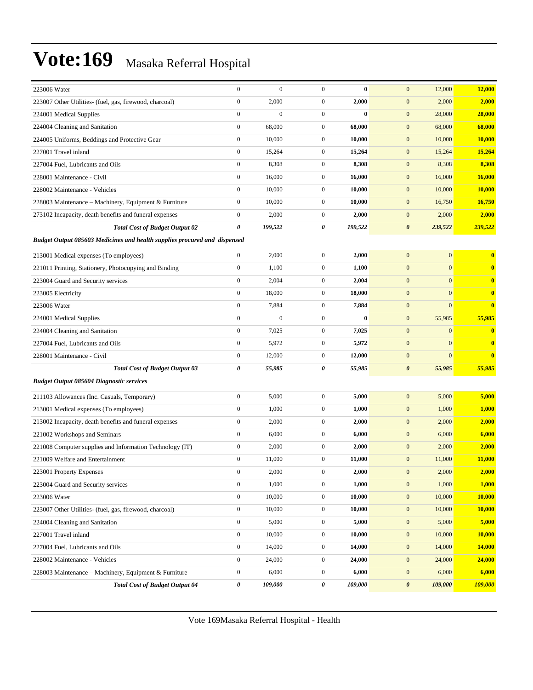| 223006 Water                                                                     | $\boldsymbol{0}$ | $\boldsymbol{0}$ | $\boldsymbol{0}$ | $\bf{0}$     | $\mathbf{0}$<br>12,000             | 12,000        |
|----------------------------------------------------------------------------------|------------------|------------------|------------------|--------------|------------------------------------|---------------|
| 223007 Other Utilities- (fuel, gas, firewood, charcoal)                          | $\boldsymbol{0}$ | 2,000            | $\boldsymbol{0}$ | 2,000        | $\boldsymbol{0}$<br>2,000          | 2,000         |
| 224001 Medical Supplies                                                          | $\boldsymbol{0}$ | $\boldsymbol{0}$ | $\mathbf{0}$     | $\bf{0}$     | $\boldsymbol{0}$<br>28,000         | 28,000        |
| 224004 Cleaning and Sanitation                                                   | $\boldsymbol{0}$ | 68,000           | $\mathbf{0}$     | 68,000       | $\boldsymbol{0}$<br>68,000         | 68,000        |
| 224005 Uniforms, Beddings and Protective Gear                                    | $\boldsymbol{0}$ | 10,000           | $\mathbf{0}$     | 10,000       | $\mathbf{0}$<br>10,000             | 10,000        |
| 227001 Travel inland                                                             | $\boldsymbol{0}$ | 15,264           | $\mathbf{0}$     | 15,264       | $\mathbf{0}$<br>15,264             | 15,264        |
| 227004 Fuel, Lubricants and Oils                                                 | $\boldsymbol{0}$ | 8,308            | $\mathbf{0}$     | 8,308        | $\boldsymbol{0}$<br>8,308          | 8,308         |
| 228001 Maintenance - Civil                                                       | $\boldsymbol{0}$ | 16,000           | $\mathbf{0}$     | 16,000       | $\boldsymbol{0}$<br>16,000         | 16,000        |
| 228002 Maintenance - Vehicles                                                    | $\boldsymbol{0}$ | 10,000           | $\mathbf{0}$     | 10,000       | $\boldsymbol{0}$<br>10,000         | <b>10,000</b> |
| 228003 Maintenance - Machinery, Equipment & Furniture                            | $\boldsymbol{0}$ | 10,000           | $\mathbf{0}$     | 10,000       | $\mathbf{0}$<br>16,750             | 16,750        |
| 273102 Incapacity, death benefits and funeral expenses                           | $\boldsymbol{0}$ | 2,000            | $\mathbf{0}$     | 2,000        | $\mathbf{0}$<br>2,000              | 2,000         |
| <b>Total Cost of Budget Output 02</b>                                            | $\pmb{\theta}$   | 199,522          | 0                | 199,522      | 239,522<br>$\pmb{\theta}$          | 239,522       |
| <b>Budget Output 085603 Medicines and health supplies procured and dispensed</b> |                  |                  |                  |              |                                    |               |
| 213001 Medical expenses (To employees)                                           | $\boldsymbol{0}$ | 2,000            | $\mathbf{0}$     | 2,000        | $\mathbf{0}$<br>$\overline{0}$     | $\bf{0}$      |
| 221011 Printing, Stationery, Photocopying and Binding                            | $\boldsymbol{0}$ | 1,100            | $\overline{0}$   | 1,100        | $\boldsymbol{0}$<br>$\mathbf{0}$   | $\bf{0}$      |
| 223004 Guard and Security services                                               | $\boldsymbol{0}$ | 2,004            | $\mathbf{0}$     | 2,004        | $\mathbf{0}$<br>$\overline{0}$     | $\bf{0}$      |
| 223005 Electricity                                                               | $\boldsymbol{0}$ | 18,000           | $\mathbf{0}$     | 18,000       | $\mathbf{0}$<br>$\overline{0}$     | $\bf{0}$      |
| 223006 Water                                                                     | $\boldsymbol{0}$ | 7,884            | $\mathbf{0}$     | 7,884        | $\boldsymbol{0}$<br>$\overline{0}$ | $\bf{0}$      |
| 224001 Medical Supplies                                                          | $\boldsymbol{0}$ | $\mathbf{0}$     | $\mathbf{0}$     | $\mathbf{0}$ | $\boldsymbol{0}$<br>55,985         | 55,985        |
| 224004 Cleaning and Sanitation                                                   | $\boldsymbol{0}$ | 7,025            | $\mathbf{0}$     | 7,025        | $\boldsymbol{0}$<br>$\mathbf{0}$   | $\bf{0}$      |
| 227004 Fuel, Lubricants and Oils                                                 | $\boldsymbol{0}$ | 5,972            | $\mathbf{0}$     | 5,972        | $\mathbf{0}$<br>$\overline{0}$     | $\bf{0}$      |
| 228001 Maintenance - Civil                                                       | $\boldsymbol{0}$ | 12,000           | $\mathbf{0}$     | 12,000       | $\mathbf{0}$<br>$\overline{0}$     | $\bf{0}$      |
| <b>Total Cost of Budget Output 03</b>                                            | 0                | 55,985           | 0                | 55,985       | 55,985<br>$\boldsymbol{\theta}$    | 55,985        |
| <b>Budget Output 085604 Diagnostic services</b>                                  |                  |                  |                  |              |                                    |               |
| 211103 Allowances (Inc. Casuals, Temporary)                                      | $\boldsymbol{0}$ | 5,000            | $\mathbf{0}$     | 5,000        | 5,000<br>$\mathbf{0}$              | 5,000         |
| 213001 Medical expenses (To employees)                                           | $\boldsymbol{0}$ | 1,000            | $\overline{0}$   | 1,000        | $\mathbf{0}$<br>1,000              | 1,000         |
| 213002 Incapacity, death benefits and funeral expenses                           | $\boldsymbol{0}$ | 2,000            | $\mathbf{0}$     | 2,000        | $\mathbf{0}$<br>2,000              | 2,000         |
| 221002 Workshops and Seminars                                                    | $\boldsymbol{0}$ | 6,000            | $\mathbf{0}$     | 6,000        | $\mathbf{0}$<br>6,000              | 6,000         |
| 221008 Computer supplies and Information Technology (IT)                         | $\boldsymbol{0}$ | 2,000            | $\mathbf{0}$     | 2,000        | $\mathbf{0}$<br>2,000              | 2,000         |
| 221009 Welfare and Entertainment                                                 | $\boldsymbol{0}$ | 11,000           | $\mathbf{0}$     | 11,000       | $\mathbf{0}$<br>11,000             | 11,000        |
| 223001 Property Expenses                                                         | $\boldsymbol{0}$ | 2,000            | $\mathbf{0}$     | 2,000        | 2,000<br>$\mathbf{0}$              | 2,000         |
| 223004 Guard and Security services                                               | $\boldsymbol{0}$ | 1,000            | $\boldsymbol{0}$ | 1,000        | $\mathbf{0}$<br>1,000              | 1,000         |
| 223006 Water                                                                     | $\boldsymbol{0}$ | 10,000           | $\boldsymbol{0}$ | 10,000       | $\boldsymbol{0}$<br>10,000         | 10,000        |
| 223007 Other Utilities- (fuel, gas, firewood, charcoal)                          | $\boldsymbol{0}$ | 10,000           | $\boldsymbol{0}$ | 10,000       | $\boldsymbol{0}$<br>10,000         | 10,000        |
| 224004 Cleaning and Sanitation                                                   | $\boldsymbol{0}$ | 5,000            | $\boldsymbol{0}$ | 5,000        | 5,000<br>$\mathbf{0}$              | 5,000         |
| 227001 Travel inland                                                             | $\boldsymbol{0}$ | 10,000           | $\boldsymbol{0}$ | 10,000       | $\boldsymbol{0}$<br>10,000         | <b>10,000</b> |
| 227004 Fuel, Lubricants and Oils                                                 | $\boldsymbol{0}$ | 14,000           | $\boldsymbol{0}$ | 14,000       | $\boldsymbol{0}$<br>14,000         | 14,000        |
| 228002 Maintenance - Vehicles                                                    | $\boldsymbol{0}$ | 24,000           | $\boldsymbol{0}$ | 24,000       | $\mathbf{0}$<br>24,000             | 24,000        |
| 228003 Maintenance - Machinery, Equipment & Furniture                            | $\boldsymbol{0}$ | 6,000            | $\boldsymbol{0}$ | 6,000        | $\boldsymbol{0}$<br>6,000          | 6,000         |
| <b>Total Cost of Budget Output 04</b>                                            | 0                | 109,000          | 0                | 109,000      | 109,000<br>$\pmb{\theta}$          | 109,000       |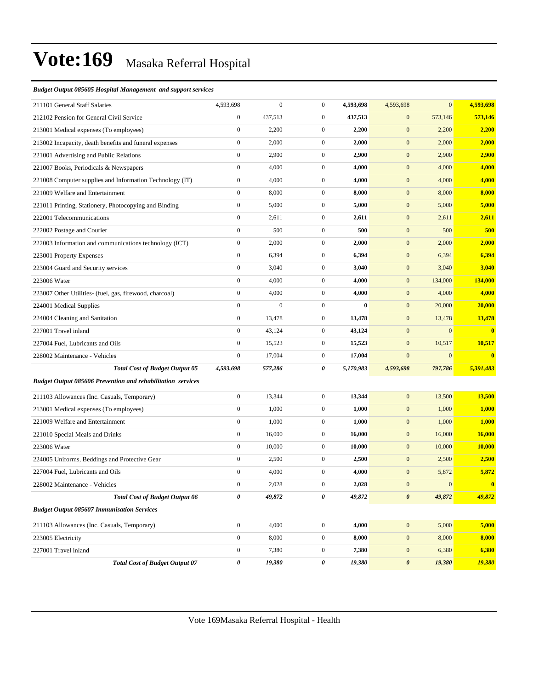#### *Budget Output 085605 Hospital Management and support services*

| 211101 General Staff Salaries                                      | 4,593,698        | $\boldsymbol{0}$ | $\mathbf{0}$     | 4,593,698 | 4,593,698             | $\overline{0}$   | 4,593,698     |
|--------------------------------------------------------------------|------------------|------------------|------------------|-----------|-----------------------|------------------|---------------|
| 212102 Pension for General Civil Service                           | $\boldsymbol{0}$ | 437,513          | $\mathbf{0}$     | 437,513   | $\mathbf{0}$          | 573,146          | 573,146       |
| 213001 Medical expenses (To employees)                             | $\boldsymbol{0}$ | 2,200            | $\boldsymbol{0}$ | 2,200     | $\boldsymbol{0}$      | 2,200            | 2,200         |
| 213002 Incapacity, death benefits and funeral expenses             | $\boldsymbol{0}$ | 2,000            | $\mathbf{0}$     | 2,000     | $\mathbf{0}$          | 2,000            | 2,000         |
| 221001 Advertising and Public Relations                            | $\boldsymbol{0}$ | 2,900            | $\boldsymbol{0}$ | 2,900     | $\mathbf{0}$          | 2,900            | 2,900         |
| 221007 Books, Periodicals & Newspapers                             | $\mathbf{0}$     | 4,000            | $\boldsymbol{0}$ | 4,000     | $\mathbf{0}$          | 4,000            | 4,000         |
| 221008 Computer supplies and Information Technology (IT)           | $\boldsymbol{0}$ | 4,000            | $\mathbf{0}$     | 4,000     | $\mathbf{0}$          | 4,000            | 4,000         |
| 221009 Welfare and Entertainment                                   | $\boldsymbol{0}$ | 8,000            | $\boldsymbol{0}$ | 8,000     | $\mathbf{0}$          | 8,000            | 8,000         |
| 221011 Printing, Stationery, Photocopying and Binding              | $\boldsymbol{0}$ | 5,000            | $\boldsymbol{0}$ | 5,000     | $\mathbf{0}$          | 5,000            | 5,000         |
| 222001 Telecommunications                                          | $\boldsymbol{0}$ | 2,611            | $\boldsymbol{0}$ | 2,611     | $\mathbf{0}$          | 2,611            | 2,611         |
| 222002 Postage and Courier                                         | $\mathbf{0}$     | 500              | $\boldsymbol{0}$ | 500       | $\mathbf{0}$          | 500              | 500           |
| 222003 Information and communications technology (ICT)             | $\boldsymbol{0}$ | 2,000            | $\mathbf{0}$     | 2,000     | $\mathbf{0}$          | 2,000            | 2,000         |
| 223001 Property Expenses                                           | $\boldsymbol{0}$ | 6,394            | $\boldsymbol{0}$ | 6,394     | $\mathbf{0}$          | 6,394            | 6,394         |
| 223004 Guard and Security services                                 | $\boldsymbol{0}$ | 3,040            | $\boldsymbol{0}$ | 3,040     | $\mathbf{0}$          | 3,040            | 3,040         |
| 223006 Water                                                       | $\boldsymbol{0}$ | 4,000            | $\boldsymbol{0}$ | 4,000     | $\mathbf{0}$          | 134,000          | 134,000       |
| 223007 Other Utilities- (fuel, gas, firewood, charcoal)            | $\boldsymbol{0}$ | 4,000            | $\boldsymbol{0}$ | 4,000     | $\mathbf{0}$          | 4,000            | 4,000         |
| 224001 Medical Supplies                                            | $\boldsymbol{0}$ | $\boldsymbol{0}$ | $\mathbf{0}$     | $\bf{0}$  | $\mathbf{0}$          | 20,000           | 20,000        |
| 224004 Cleaning and Sanitation                                     | $\boldsymbol{0}$ | 13,478           | $\boldsymbol{0}$ | 13,478    | $\mathbf{0}$          | 13,478           | 13,478        |
| 227001 Travel inland                                               | $\mathbf{0}$     | 43,124           | $\mathbf{0}$     | 43,124    | $\mathbf{0}$          | $\mathbf{0}$     | $\bf{0}$      |
| 227004 Fuel, Lubricants and Oils                                   | $\boldsymbol{0}$ | 15,523           | $\boldsymbol{0}$ | 15,523    | $\mathbf{0}$          | 10,517           | 10,517        |
| 228002 Maintenance - Vehicles                                      | $\boldsymbol{0}$ | 17,004           | $\boldsymbol{0}$ | 17,004    | $\boldsymbol{0}$      | $\boldsymbol{0}$ | $\bf{0}$      |
| <b>Total Cost of Budget Output 05</b>                              | 4,593,698        | 577,286          | 0                | 5,170,983 | 4,593,698             | 797,786          | 5,391,483     |
| <b>Budget Output 085606 Prevention and rehabilitation services</b> |                  |                  |                  |           |                       |                  |               |
| 211103 Allowances (Inc. Casuals, Temporary)                        | $\boldsymbol{0}$ | 13,344           | $\boldsymbol{0}$ | 13,344    | $\mathbf{0}$          | 13,500           | 13,500        |
| 213001 Medical expenses (To employees)                             | $\boldsymbol{0}$ | 1,000            | $\mathbf{0}$     | 1,000     | $\mathbf{0}$          | 1,000            | 1,000         |
| 221009 Welfare and Entertainment                                   | $\boldsymbol{0}$ | 1,000            | $\mathbf{0}$     | 1,000     | $\mathbf{0}$          | 1,000            | 1,000         |
| 221010 Special Meals and Drinks                                    | $\boldsymbol{0}$ | 16,000           | $\mathbf{0}$     | 16,000    | $\mathbf{0}$          | 16,000           | <b>16,000</b> |
| 223006 Water                                                       | $\boldsymbol{0}$ | 10,000           | $\boldsymbol{0}$ | 10,000    | $\mathbf{0}$          | 10,000           | 10,000        |
| 224005 Uniforms, Beddings and Protective Gear                      | $\boldsymbol{0}$ | 2,500            | $\boldsymbol{0}$ | 2,500     | $\mathbf{0}$          | 2,500            | 2,500         |
| 227004 Fuel, Lubricants and Oils                                   | $\mathbf{0}$     | 4,000            | $\boldsymbol{0}$ | 4,000     | $\mathbf{0}$          | 5,872            | 5,872         |
| 228002 Maintenance - Vehicles                                      | 0                | 2,028            | 0                | 2,028     | $\mathbf{0}$          | $\mathbf{0}$     | $\mathbf{0}$  |
| <b>Total Cost of Budget Output 06</b>                              | 0                | 49,872           | 0                | 49,872    | $\boldsymbol{\theta}$ | 49,872           | 49,872        |
| <b>Budget Output 085607 Immunisation Services</b>                  |                  |                  |                  |           |                       |                  |               |
| 211103 Allowances (Inc. Casuals, Temporary)                        | $\boldsymbol{0}$ | 4,000            | $\boldsymbol{0}$ | 4,000     | $\boldsymbol{0}$      | 5,000            | 5,000         |
| 223005 Electricity                                                 | $\boldsymbol{0}$ | 8,000            | $\boldsymbol{0}$ | 8,000     | $\mathbf{0}$          | 8,000            | 8,000         |
| 227001 Travel inland                                               | $\boldsymbol{0}$ | 7,380            | $\boldsymbol{0}$ | 7,380     | $\boldsymbol{0}$      | 6,380            | 6,380         |
| <b>Total Cost of Budget Output 07</b>                              | 0                | 19,380           | 0                | 19,380    | $\boldsymbol{\theta}$ | 19,380           | 19,380        |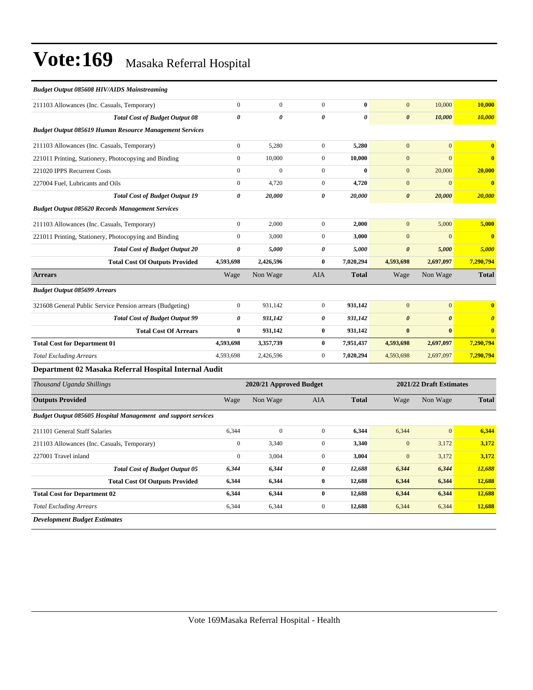| <b>Budget Output 085608 HIV/AIDS Mainstreaming</b>             |                       |                         |                  |                |                       |                         |                         |
|----------------------------------------------------------------|-----------------------|-------------------------|------------------|----------------|-----------------------|-------------------------|-------------------------|
| 211103 Allowances (Inc. Casuals, Temporary)                    | $\mathbf{0}$          | $\overline{0}$          | $\overline{0}$   | $\bf{0}$       | $\mathbf{0}$          | 10,000                  | 10,000                  |
| <b>Total Cost of Budget Output 08</b>                          | $\boldsymbol{\theta}$ | 0                       | $\theta$         | $\pmb{\theta}$ | $\boldsymbol{\theta}$ | 10,000                  | 10,000                  |
| <b>Budget Output 085619 Human Resource Management Services</b> |                       |                         |                  |                |                       |                         |                         |
| 211103 Allowances (Inc. Casuals, Temporary)                    | $\mathbf{0}$          | 5,280                   | $\overline{0}$   | 5,280          | $\mathbf{0}$          | $\overline{0}$          | $\mathbf{0}$            |
| 221011 Printing, Stationery, Photocopying and Binding          | $\mathbf{0}$          | 10,000                  | $\overline{0}$   | 10,000         | $\mathbf{0}$          | $\Omega$                | $\mathbf{0}$            |
| 221020 IPPS Recurrent Costs                                    | $\mathbf{0}$          | $\mathbf{0}$            | $\overline{0}$   | $\bf{0}$       | $\mathbf{0}$          | 20,000                  | 20,000                  |
| 227004 Fuel, Lubricants and Oils                               | $\mathbf{0}$          | 4,720                   | $\overline{0}$   | 4,720          | $\mathbf{0}$          | $\overline{0}$          | $\bf{0}$                |
| <b>Total Cost of Budget Output 19</b>                          | $\boldsymbol{\theta}$ | 20,000                  | 0                | 20,000         | $\boldsymbol{\theta}$ | 20,000                  | 20,000                  |
| <b>Budget Output 085620 Records Management Services</b>        |                       |                         |                  |                |                       |                         |                         |
| 211103 Allowances (Inc. Casuals, Temporary)                    | $\mathbf{0}$          | 2,000                   | $\overline{0}$   | 2,000          | $\mathbf{0}$          | 5,000                   | 5,000                   |
| 221011 Printing, Stationery, Photocopying and Binding          | $\mathbf{0}$          | 3,000                   | $\overline{0}$   | 3,000          | $\mathbf{0}$          | $\Omega$                | $\overline{\mathbf{0}}$ |
| <b>Total Cost of Budget Output 20</b>                          | $\boldsymbol{\theta}$ | 5,000                   | 0                | 5,000          | $\boldsymbol{\theta}$ | 5,000                   | 5,000                   |
| <b>Total Cost Of Outputs Provided</b>                          | 4,593,698             | 2,426,596               | $\bf{0}$         | 7,020,294      | 4,593,698             | 2,697,097               | 7,290,794               |
| <b>Arrears</b>                                                 | Wage                  | Non Wage                | AIA              | <b>Total</b>   | Wage                  | Non Wage                | <b>Total</b>            |
| <b>Budget Output 085699 Arrears</b>                            |                       |                         |                  |                |                       |                         |                         |
| 321608 General Public Service Pension arrears (Budgeting)      | $\mathbf{0}$          | 931,142                 | $\boldsymbol{0}$ | 931,142        | $\mathbf{0}$          | $\overline{0}$          | $\mathbf{0}$            |
| <b>Total Cost of Budget Output 99</b>                          | $\boldsymbol{\theta}$ | 931,142                 | 0                | 931,142        | $\boldsymbol{\theta}$ | $\boldsymbol{\theta}$   | $\boldsymbol{\theta}$   |
| <b>Total Cost Of Arrears</b>                                   | $\bf{0}$              | 931,142                 | $\bf{0}$         | 931,142        | $\bf{0}$              | $\bf{0}$                | $\bf{0}$                |
| <b>Total Cost for Department 01</b>                            | 4,593,698             | 3,357,739               | $\bf{0}$         | 7,951,437      | 4,593,698             | 2,697,097               | 7,290,794               |
| <b>Total Excluding Arrears</b>                                 | 4,593,698             | 2,426,596               | $\mathbf{0}$     | 7,020,294      | 4,593,698             | 2,697,097               | 7,290,794               |
| Department 02 Masaka Referral Hospital Internal Audit          |                       |                         |                  |                |                       |                         |                         |
| Thousand Uganda Shillings                                      |                       | 2020/21 Approved Budget |                  |                |                       | 2021/22 Draft Estimates |                         |
| <b>Outputs Provided</b>                                        | Wage                  | Non Wage                | <b>AIA</b>       | <b>Total</b>   | Wage                  | Non Wage                | <b>Total</b>            |
| Budget Output 085605 Hospital Management and support services  |                       |                         |                  |                |                       |                         |                         |
| 211101 General Staff Salaries                                  | 6,344                 | $\mathbf{0}$            | $\overline{0}$   | 6,344          | 6,344                 | $\overline{0}$          | 6,344                   |
| 211103 Allowances (Inc. Casuals, Temporary)                    | $\mathbf{0}$          | 3,340                   | $\overline{0}$   | 3,340          | $\mathbf{0}$          | 3,172                   | 3,172                   |
| 227001 Travel inland                                           | $\boldsymbol{0}$      | 3,004                   | $\overline{0}$   | 3,004          | $\mathbf{0}$          | 3,172                   | 3,172                   |
| <b>Total Cost of Budget Output 05</b>                          | 6,344                 | 6,344                   | 0                | 12,688         | 6,344                 | 6,344                   | 12,688                  |
| <b>Total Cost Of Outputs Provided</b>                          | 6,344                 | 6,344                   | $\bf{0}$         | 12,688         | 6,344                 | 6,344                   | 12,688                  |
| <b>Total Cost for Department 02</b>                            | 6,344                 | 6,344                   | $\bf{0}$         | 12,688         | 6,344                 | 6,344                   | 12,688                  |
| <b>Total Excluding Arrears</b>                                 | 6,344                 | 6,344                   | $\Omega$         | 12,688         | 6,344                 | 6,344                   | 12,688                  |

*Development Budget Estimates*